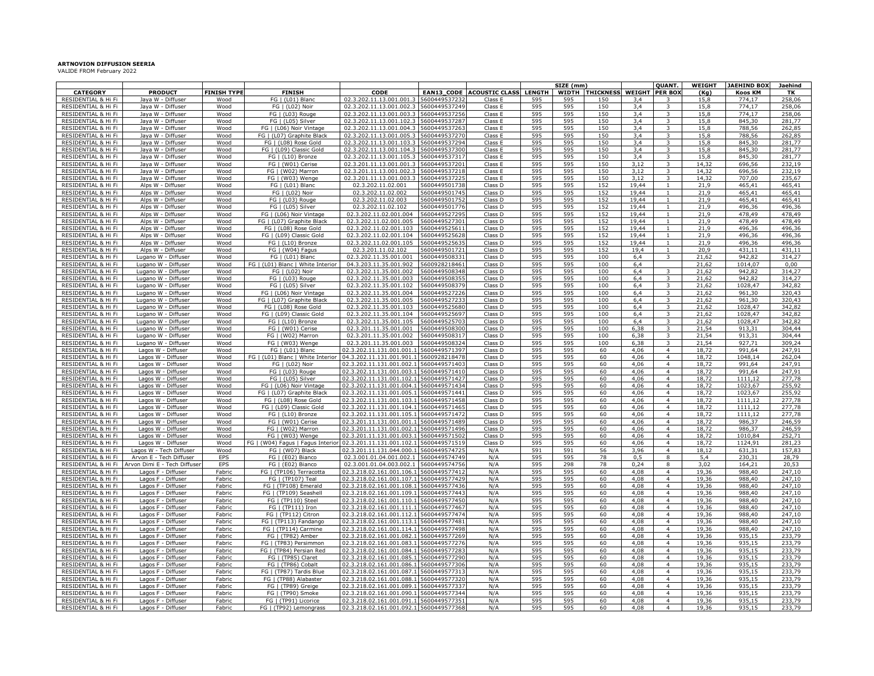**ARTNOVION DIFFUSION SEERIA** VALIDE FROM February 2022

|                                            |                                                         |                    |                                                   |                                                                                   |                                |                       |               | SIZE (mm)  |                 |                       | <b>QUANT.</b>                    | WEIGHT         | <b>JAEHIND BOX</b> | Jaehind          |
|--------------------------------------------|---------------------------------------------------------|--------------------|---------------------------------------------------|-----------------------------------------------------------------------------------|--------------------------------|-----------------------|---------------|------------|-----------------|-----------------------|----------------------------------|----------------|--------------------|------------------|
| <b>CATEGORY</b>                            | <b>PRODUCT</b>                                          | <b>FINISH TYPI</b> | <b>FINISH</b>                                     | CODE                                                                              | <b>EAN13_CODE</b>              | <b>ACOUSTIC CLASS</b> | <b>LENGTH</b> |            | WIDTH THICKNESS | <b>WEIGHT PER BOX</b> |                                  | (Kg)           | Koos KM            | TK               |
| RESIDENTIAL & Hi Fi                        | Jaya W - Diffuser                                       | Wood               | FG   (L01) Blanc                                  | 02.3.202.11.13.001.001.3                                                          | 5600449537232                  | Class E               | 595           | 595        | 150             | 3,4                   | 3                                | 15,8           | 774,17             | 258,06           |
| RESIDENTIAL & Hi Fi                        | Jaya W - Diffuser                                       | Wood               | FG   (L02) Noir                                   | 02.3.202.11.13.001.002.3                                                          | 5600449537249                  | Class E               | 595           | 595        | 150             | 3,4                   | 3                                | 15,8           | 774,17             | 258,06           |
| RESIDENTIAL & Hi Fi                        | Jaya W - Diffuser                                       | Wood               | FG   (L03) Rouge                                  | 02.3.202.11.13.001.003.3                                                          | 5600449537256                  | Class E               | 595           | 595        | 150             | 3,4                   | 3                                | 15,8           | 774,17             | 258,06           |
| RESIDENTIAL & Hi Fi                        | Jaya W - Diffuser                                       | Wood               | FG   (L05) Silver                                 | 02.3.202.11.13.001.102.3 5600449537287                                            |                                | Class E               | 595           | 595        | 150             | 3,4                   | 3                                | 15,8           | 845,30             | 281.77           |
| RESIDENTIAL & Hi Fi<br>RESIDENTIAL & Hi Fi | Jaya W - Diffuser<br>Jaya W - Diffuser                  | Wood<br>Wood       | FG   (L06) Noir Vintage                           | 02.3.202.11.13.001.004.3 5600449537263<br>02.3.202.11.13.001.005.3 5600449537270  |                                | Class E<br>Class E    | 595<br>595    | 595<br>595 | 150<br>150      | 3,4                   | 3<br>3                           | 15,8<br>15,8   | 788,56<br>788,56   | 262,85<br>262,85 |
| RESIDENTIAL & Hi Fi                        | Jaya W - Diffuser                                       | Wood               | FG   (L07) Graphite Black<br>FG   (L08) Rose Gold | 02.3.202.11.13.001.103.3                                                          | 5600449537294                  |                       |               |            | 150             | 3,4                   | 3                                |                |                    | 281,77           |
| RESIDENTIAL & Hi Fi                        | Jaya W - Diffuser                                       | Wood               | FG   (L09) Classic Gold                           | 02.3.202.11.13.001.104.3                                                          | 5600449537300                  | Class E<br>Class E    | 595<br>595    | 595<br>595 | 150             | 3,4                   | 3                                | 15,8<br>15,8   | 845,30<br>845,30   | 281,77           |
| RESIDENTIAL & Hi Fi                        | Jaya W - Diffuser                                       | Wood               | FG   (L10) Bronze                                 | 02.3.202.11.13.001.105.3                                                          | 5600449537317                  | Class E               | 595           | 595        | 150             | 3,4<br>3,4            | 3                                | 15,8           | 845,30             | 281,77           |
| RESIDENTIAL & Hi Fi                        | Jaya W - Diffuser                                       | Wood               | FG   (W01) Cerise                                 | 02.3.201.11.13.001.001.3  5600449537201                                           |                                | Class E               | 595           | 595        | 150             | 3,12                  | 3                                | 14,32          | 696,56             | 232,19           |
| RESIDENTIAL & Hi Fi                        | Jaya W - Diffuser                                       | Wood               | FG   (W02) Marron                                 | 02.3.201.11.13.001.002.3                                                          | 5600449537218                  | Class E               | 595           | 595        | 150             | 3,12                  | 3                                | 14,32          | 696,56             | 232,19           |
| RESIDENTIAL & Hi Fi                        | Jaya W - Diffuser                                       | Wood               | FG   (W03) Wenge                                  | 02.3.201.11.13.001.003.                                                           | 5600449537225                  | Class E               | 595           | 595        | 150             | 3,12                  | 3                                | 14,32          | 707,00             | 235,67           |
| RESIDENTIAL & Hi Fi                        | Alps W - Diffuser                                       | Wood               | FG   (L01) Blanc                                  | 02.3.202.11.02.001                                                                | 5600449501738                  | Class D               | 595           | 595        | 152             | 19,44                 | $\mathbf{1}$                     | 21,9           | 465,41             | 465,41           |
| RESIDENTIAL & Hi Fi                        | Alps W - Diffuser                                       | Wood               | FG   (L02) Noir                                   | 02.3.202.11.02.002                                                                | 5600449501745                  | Class D               | 595           | 595        | 152             | 19,44                 | 1                                | 21,9           | 465,41             | 465,41           |
| RESIDENTIAL & Hi Fi                        | Alps W - Diffuser                                       | Wood               | FG   (L03) Rouge                                  | 02.3.202.11.02.003                                                                | 5600449501752                  | Class D               | 595           | 595        | 152             | 19,44                 | $\mathbf{1}$                     | 21,9           | 465,41             | 465,41           |
| RESIDENTIAL & Hi Fi                        | Alps W - Diffuser                                       | Wood               | FG   (L05) Silver                                 | 02.3.202.11.02.102                                                                | 560044950177                   | Class D               | 595           | 595        | 152             | 19,44                 | $\mathbf{1}$                     | 21,9           | 496,36             | 496,36           |
| RESIDENTIAL & Hi Fi                        | Alps W - Diffuser                                       | Wood               | FG   (L06) Noir Vintage                           | 02.3.202.11.02.001.004                                                            | 5600449527295                  | Class D               | 595           | 595        | 152             | 19,44                 | $\mathbf{1}$                     | 21,9           | 478,49             | 478,49           |
| RESIDENTIAL & Hi Fi                        | Alps W - Diffuser                                       | Wood               | FG   (L07) Graphite Black                         | 02.3.202.11.02.001.005                                                            | 560044952730                   | Class D               | 595           | 595        | 152             | 19,44                 | $\mathbf{1}$                     | 21,9           | 478,49             | 478,49           |
| RESIDENTIAL & Hi Fi                        | Alps W - Diffuser                                       | Wood               | FG   (L08) Rose Gold                              | 02.3.202.11.02.001.103                                                            | 560044952561                   | Class D               | 595           | 595        | 152             | 19,44                 |                                  | 21,9           | 496,36             | 496,36           |
| RESIDENTIAL & Hi Fi                        | Alps W - Diffuser                                       | Wood               | FG   (L09) Classic Gold                           | 02.3.202.11.02.001.104                                                            | 560044952562                   | Class D               | 595           | 595        | 152             | 19,44                 | $\mathbf{1}$                     | 21,9           | 496,36             | 496,36           |
| RESIDENTIAL & Hi Fi                        | Alps W - Diffuser                                       | Wood               | FG   (L10) Bronze                                 | 02.3.202.11.02.001.105                                                            | 560044952563                   | Class D               | 595           | 595        | 152             | 19,44                 |                                  | 21,9           | 496,36             | 496,36           |
| RESIDENTIAL & Hi Fi<br>RESIDENTIAL & Hi Fi | Alns W - Diffuser                                       | Wood               | FG   (W04) Fagus<br>FG   (L01) Blanc              | 02.3.201.11.02.102<br>02.3.202.11.35.001.001                                      | 560044950172<br>560044950833   | Class D               | 595<br>595    | 595<br>595 | 152<br>100      | 19.4                  | 3                                | 20,9<br>21,62  | 431,11<br>942,82   | 431,11<br>314,27 |
| RESIDENTIAL & Hi Fi                        | Lugano W - Diffuser<br>Lugano W - Diffuser              | Wood<br>Wood       | (L01) Blanc   White Interior<br>FG.               | 04.3.203.11.35.001.902                                                            | 560092821846                   | Class D<br>Class D    | 595           | 595        | 100             | 6,4<br>6,4            |                                  | 21,62          | 1014,07            | 0.00             |
| RESIDENTIAL & Hi Fi                        | Lugano W - Diffuser                                     | Wood               | FG   (L02) Noir                                   | 02.3.202.11.35.001.002                                                            | 560044950834                   | Class D               | 595           | 595        | 100             | 64                    | $\mathbf{3}$                     | 21,62          | 942,82             | 314,27           |
| RESIDENTIAL & Hi Fi                        | Lugano W - Diffuser                                     | Wood               | FG   (L03) Rouge                                  | 02.3.202.11.35.001.003                                                            | 560044950835                   | Class D               | 595           | 595        | 100             | 64                    | $\mathbf{R}$                     | 21,62          | 942,82             | 314,27           |
| RESIDENTIAL & Hi Fi                        | Lugano W - Diffuser                                     | Wood               | FG   (L05) Silver                                 | 02.3.202.11.35.001.102                                                            | 560044950837                   | Class D               | 595           | 595        | 100             | 6,4                   | 3                                | 21,62          | 1028,47            | 342,82           |
| RESIDENTIAL & Hi Fi                        | Lugano W - Diffuser                                     | Wood               | FG I (L06) Noir Vintage                           | 02.3.202.11.35.001.004                                                            | 560044952722                   | Class D               | 595           | 595        | 100             | 6.4                   | 3                                | 21.62          | 961.30             | 320.43           |
| RESIDENTIAL & Hi Fi                        | Lugano W - Diffuser                                     | Wood               | FG   (L07) Graphite Black                         | 02.3.202.11.35.001.005                                                            | 560044952723                   | Class D               | 595           | 595        | 100             | 6.4                   | $\overline{\mathbf{3}}$          | 21.62          | 961.30             | 320.43           |
| RESIDENTIAL & Hi Fi                        | Lugano W - Diffuser                                     | Wood               | FG I (L08) Rose Gold                              | 02.3.202.11.35.001.103                                                            | 560044952568                   | Class D               | 595           | 595        | 100             | 6.4                   | $\overline{\mathbf{3}}$          | 21.62          | 1028.47            | 342.82           |
| RESIDENTIAL & Hi Fi                        | Lugano W - Diffuser                                     | Wood               | FG I (L09) Classic Gold                           | 02.3.202.11.35.001.104                                                            | 560044952569                   | Class D               | 595           | 595        | 100             | 6.4                   | 3                                | 21,62          | 1028.47            | 342.82           |
| RESIDENTIAL & Hi Fi                        | Lugano W - Diffuser                                     | Wood               | FG   (L10) Bronze                                 | 02.3.202.11.35.001.105                                                            | 560044952570                   | Class D               | 595           | 595        | 100             | 6.4                   | 3                                | 21.62          | 1028.47            | 342.82           |
| RESIDENTIAL & Hi Fi                        | Lugano W - Diffuser                                     | Wood               | FG   (W01) Cerise                                 | 02.3.201.11.35.001.001                                                            | 560044950830                   | Class D               | 595           | 595        | 100             | 6.38                  | 3                                | 21.54          | 913.31             | 304.44           |
| RESIDENTIAL & Hi Fi                        | Lugano W - Diffuser                                     | Wood               | FG   (W02) Marron                                 | 02.3.201.11.35.001.002                                                            | 560044950831                   | Class D               | 595           | 595        | 100             | 6,38                  | 3                                | 21,54          | 913,31             | 304,44           |
| RESIDENTIAL & Hi Fi                        | Lugano W - Diffuser                                     | Wood               | FG   (W03) Wenge                                  | 02.3.201.11.35.001.003                                                            | 560044950832                   | Class D               | 595           | 595        | 100             | 6,38                  | 3                                | 21,54          | 927,71             | 309,24           |
| RESIDENTIAL & Hi Fi                        | Lagos W - Diffuser                                      | Wood               | FG   (L01) Blanc                                  | 02.3.202.11.131.001.001                                                           | 5600449571397                  | Class D               | 595           | 595        | 60              | 4,06                  | $\overline{4}$                   | 18,72          | 991,64             | 247,91           |
| RESIDENTIAL & Hi Fi                        | Lagos W - Diffuser                                      | Wood               | FG   (L01) Blanc   White Interior                 | 04.3.202.11.131.001.901                                                           | 560092821847                   | Class D               | 595           | 595        | 60              | 4,06                  | $\overline{4}$<br>$\overline{4}$ | 18,72          | 1048,14            | 262,04           |
| RESIDENTIAL & Hi Fi                        | Lagos W - Diffuser                                      | Wood               | FG   (L02) Noir                                   | 02.3.202.11.131.001.002.                                                          | 5600449571403<br>560044957141  | Class D               | 595<br>595    | 595<br>595 | 60<br>60        | 4,06<br>4,06          | $\overline{4}$                   | 18,72<br>18,72 | 991,64<br>991,64   | 247,91<br>247,91 |
| RESIDENTIAL & Hi Fi<br>RESIDENTIAL & Hi Fi | Lagos W - Diffuser<br>Lagos W - Diffuser                | Wood<br>Wood       | FG   (L03) Rouge<br>FG   (L05) Silver             | 02.3.202.11.131.001.003.1<br>02.3.202.11.131.001.102.1                            | 5600449571427                  | Class D<br>Class D    | 595           | 595        | 60              | 4,06                  | $\overline{4}$                   | 18,72          | 1111,12            | 277.78           |
| RESIDENTIAL & Hi Fi                        | Lagos W - Diffuser                                      | Wood               | FG   (L06) Noir Vintage                           | 02.3.202.11.131.001.004.1                                                         | 560044957143                   | Class D               | 595           | 595        | 60              | 4,06                  | $\overline{4}$                   | 18,72          | 1023,67            | 255.92           |
| RESIDENTIAL & Hi Fi                        | Lagos W - Diffuser                                      | Wood               | FG   (L07) Graphite Black                         | 02.3.202.11.131.001.005.1                                                         | 5600449571441                  | Class D               | 595           | 595        | 60              | 4,06                  | $\overline{4}$                   | 18,72          | 1023,67            | 255,92           |
| RESIDENTIAL & Hi Fi                        | Lagos W - Diffuser                                      | Wood               | FG   (L08) Rose Gold                              | 02.3.202.11.131.001.103.1                                                         | 560044957145                   | Class D               | 595           | 595        | 60              | 4,06                  | $\overline{4}$                   | 18,72          | 1111,12            | 277,78           |
| RESIDENTIAL & Hi Fi                        | Lagos W - Diffuser                                      | Wood               | FG   (L09) Classic Gold                           | 02.3.202.11.131.001.104.1                                                         | 560044957146                   | Class D               | 595           | 595        | 60              | 4,06                  | $\overline{4}$                   | 18,72          | 1111,12            | 277,78           |
| RESIDENTIAL & Hi Fi                        | Lagos W - Diffuser                                      | Wood               | FG   (L10) Bronze                                 | 02.3.202.11.131.001.105.1                                                         | 5600449571472                  | Class D               | 595           | 595        | 60              | 4,06                  | $\overline{4}$                   | 18,72          | 1111,12            | 277,78           |
| RESIDENTIAL & Hi Fi                        | Lagos W - Diffuser                                      | Wood               | FG   (W01) Cerise                                 | 02.3.201.11.131.001.001.1                                                         | 560044957148                   | Class D               | 595           | 595        | 60              | 4,06                  | 4                                | 18,72          | 986,37             | 246,59           |
| RESIDENTIAL & Hi Fi                        | Lagos W - Diffuser                                      | Wood               | FG   (W02) Marron                                 | 02.3.201.11.131.001.002.                                                          | 560044957149                   | Class D               | 595           | 595        | 60              | 4,06                  | 4                                | 18,72          | 986,37             | 246,59           |
| RESIDENTIAL & Hi Fi                        | Lagos W - Diffuser                                      | Wood               | FG   (W03) Wenge                                  | 02.3.201.11.131.001.003.1                                                         | 60044957150                    | Class D               | 595           | 595        | 60              | 4,06                  | 4                                | 18,72          | 1010,84            | 252,71           |
| RESIDENTIAL & Hi Fi                        | Lagos W - Diffuser                                      | Wood               | FG   (W04) Fagus   Fagus Interior                 | 02.3.201.11.131.001.102.1                                                         | 560044957151                   | Class D               | 595           | 595        | 60              | 4.06                  | 4                                | 18.72          | 1124.91            | 281.23           |
| RESIDENTIAL & Hi Fi                        | Lagos W - Tech Diffuser                                 | Wood               | FG I (W07) Black                                  | 02.3.201.11.131.044.000.1                                                         | 560044957472                   | N/A                   | 591           | 591        | 56              | 3.96                  | 4                                | 18.12          | 631.31             | 157.83           |
| RESIDENTIAL & Hi Fi<br>RESIDENTIAL & Hi Fi | Arvon E - Tech Diffuser<br>Arvon Dimi E - Tech Diffuser | EPS<br>EPS         | FG   (E02) Bianco<br>FG   (E02) Bianco            | 02.3.001.01.04.001.002.1<br>02.3.001.01.04.003.002.1                              | 5600449574749<br>5600449574756 | N/A<br>N/A            | 595<br>595    | 595<br>298 | 78<br>78        | 0,5<br>0,24           | R<br>8                           | 5,4<br>3,02    | 230,31<br>164,21   | 28,79<br>20,53   |
| RESIDENTIAL & Hi Fi                        | Lagos F - Diffuser                                      | Fabric             | FG   (TP106) Terracotta                           | 02.3.218.02.161.001.106.1                                                         | 5600449577412                  | N/A                   | 595           | 595        | 60              | 4,08                  | $\overline{4}$                   | 19,36          | 988,40             | 247,10           |
| RESIDENTIAL & Hi Fi                        | Lagos F - Diffuser                                      | Fabric             | FG   (TP107) Teal                                 | 02.3.218.02.161.001.107.1                                                         | 5600449577429                  | N/A                   | 595           | 595        | 60              | 4,08                  | $\overline{4}$                   | 19,36          | 988,40             | 247.10           |
| RESIDENTIAL & Hi Fi                        | Lagos F - Diffuser                                      | Fabric             | FG   (TP108) Emerald                              | 02.3.218.02.161.001.108.1                                                         | 5600449577436                  | N/A                   | 595           | 595        | 60              | 4,08                  | $\overline{4}$                   | 19,36          | 988,40             | 247,10           |
| RESIDENTIAL & Hi Fi                        | Lagos F - Diffuser                                      | Fabric             | FG   (TP109) Seashell                             | 02.3.218.02.161.001.109.1                                                         | 5600449577443                  | N/A                   | 595           | 595        | 60              | 4,08                  | $\overline{a}$                   | 19,36          | 988,40             | 247,10           |
| RESIDENTIAL & Hi Fi                        | Lagos F - Diffuser                                      | Fabric             | FG   (TP110) Steel                                | 02.3.218.02.161.001.110.1                                                         | 5600449577450                  | N/A                   | 595           | 595        | 60              | 4,08                  | $\overline{4}$                   | 19,36          | 988,40             | 247,10           |
| RESIDENTIAL & Hi Fi                        | Lagos F - Diffuser                                      | Fabric             | FG   (TP111) Iron                                 | 02.3.218.02.161.001.111.1                                                         | 5600449577467                  | N/A                   | 595           | 595        | 60              | 4,08                  | $\overline{4}$                   | 19,36          | 988,40             | 247,10           |
| RESIDENTIAL & Hi Fi                        | Lagos F - Diffuser                                      | Fabric             | FG   (TP112) Citron                               | 02.3.218.02.161.001.112.1 5600449577474                                           |                                | N/A                   | 595           | 595        | 60              | 4,08                  | 4                                | 19,36          | 988,40             | 247,10           |
| RESIDENTIAL & Hi Fi                        | Lagos F - Diffuser                                      | Fabric             | FG   (TP113) Fandango                             | 02.3.218.02.161.001.113.1 5600449577481                                           |                                | N/A                   | 595           | 595        | 60              | 4,08                  | $\overline{4}$                   | 19,36          | 988,40             | 247,10           |
| RESIDENTIAL & Hi Fi                        | Lagos F - Diffuser                                      | Fabric             | FG   (TP114) Carmine                              | 02.3.218.02.161.001.114.1 5600449577498                                           |                                | N/A                   | 595           | 595        | 60              | 4,08                  | $\overline{4}$                   | 19,36          | 988,40             | 247,10           |
| RESIDENTIAL & Hi Fi                        | Lagos F - Diffuser                                      | Fabric             | FG   (TP82) Amber                                 | 02.3.218.02.161.001.082.1 5600449577269                                           |                                | N/A                   | 595           | 595        | 60              | 4,08                  | $\overline{4}$                   | 19,36          | 935,15             | 233,79           |
| RESIDENTIAL & Hi Fi                        | Lagos F - Diffuser                                      | Fabric             | FG   (TP83) Persimmon                             | 02.3.218.02.161.001.083.1 560044957727                                            |                                | N/A                   | 595           | 595        | 60              | 4,08                  | $\overline{4}$                   | 19,36          | 935,15             | 233,79           |
| RESIDENTIAL & Hi Fi                        | Lagos F - Diffuser                                      | Fabric             | FG   (TP84) Persian Red                           | 02.3.218.02.161.001.084.1 560044957728                                            |                                | N/A                   | 595           | 595        | 60              | 4,08                  | $\overline{4}$                   | 19,36          | 935,15             | 233,79           |
| RESIDENTIAL & Hi Fi<br>RESIDENTIAL & Hi Fi | Lagos F - Diffuser<br>Lagos F - Diffuser                | Fabric<br>Fabric   | FG   (TP85) Claret<br>FG   (TP86) Cobalt          | 02.3.218.02.161.001.085.1 560044957729<br>02.3.218.02.161.001.086.1 5600449577306 |                                | N/A<br>N/A            | 595<br>595    | 595<br>595 | 60<br>60        | 4,08<br>4,08          | $\overline{4}$<br>$\overline{4}$ | 19,36<br>19,36 | 935,15<br>935,15   | 233,79<br>233,79 |
| RESIDENTIAL & Hi Fi                        | Lagos F - Diffuser                                      | Fabric             | FG   (TP87) Tardis Blue                           | 02.3.218.02.161.001.087.1 560044957731                                            |                                | N/A                   | 595           | 595        | 60              | 4,08                  | $\overline{4}$                   | 19.36          | 935,15             | 233,79           |
| RESIDENTIAL & Hi Fi                        | Lagos F - Diffuser                                      | Fabric             | FG   (TP88) Alabaster                             | 02.3.218.02.161.001.088.1 560044957732                                            |                                | N/A                   | 595           | 595        | 60              | 4,08                  | $\overline{4}$                   | 19.36          | 935,15             | 233,79           |
| RESIDENTIAL & Hi Fi                        | Lagos F - Diffuser                                      | Fabric             | FG   (TP89) Greige                                | 02.3.218.02.161.001.089.1 560044957733                                            |                                | N/A                   | 595           | 595        | 60              | 4,08                  | $\overline{4}$                   | 19.36          | 935,15             | 233,79           |
| RESIDENTIAL & Hi Fi                        | Lagos F - Diffuser                                      | Fabric             | FG   (TP90) Smoke                                 | 02.3.218.02.161.001.090.1 5600449577344                                           |                                | N/A                   | 595           | 595        | 60              | 4,08                  | $\overline{4}$                   | 19.36          | 935,15             | 233,79           |
| RESIDENTIAL & Hi Fi                        | Lagos F - Diffuser                                      | Fabric             | FG   (TP91) Licorice                              | 02.3.218.02.161.001.091.1 5600449577351                                           |                                | N/A                   | 595           | 595        | 60              | 4,08                  | $\overline{4}$                   | 19.36          | 935,15             | 233,79           |
| RESIDENTIAL & Hi Fi                        | Lagos F - Diffuser                                      | Fabric             | FG   (TP92) Lemongrass                            | 02.3.218.02.161.001.092.1 5600449577368                                           |                                | N/A                   | 595           | 595        | 60              | 4,08                  | $\overline{4}$                   | 19.36          | 935,15             | 233.79           |